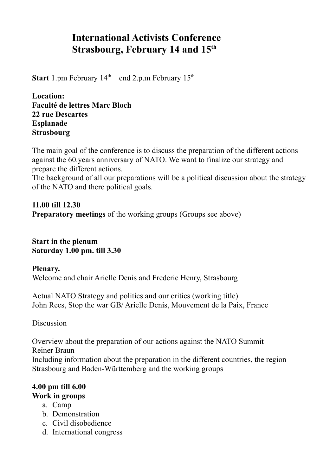# **International Activists Conference Strasbourg, February 14 and 15th**

**Start** 1.pm February  $14<sup>th</sup>$  end 2.p.m February  $15<sup>th</sup>$ 

**Location: Faculté de lettres Marc Bloch 22 rue Descartes Esplanade Strasbourg**

The main goal of the conference is to discuss the preparation of the different actions against the 60.years anniversary of NATO. We want to finalize our strategy and prepare the different actions.

The background of all our preparations will be a political discussion about the strategy of the NATO and there political goals.

**11.00 till 12.30 Preparatory meetings** of the working groups (Groups see above)

**Start in the plenum Saturday 1.00 pm. till 3.30**

**Plenary.** Welcome and chair Arielle Denis and Frederic Henry, Strasbourg

Actual NATO Strategy and politics and our critics (working title) John Rees, Stop the war GB/ Arielle Denis, Mouvement de la Paix, France

**Discussion** 

Overview about the preparation of our actions against the NATO Summit Reiner Braun Including information about the preparation in the different countries, the region Strasbourg and Baden-Württemberg and the working groups

# **4.00 pm till 6.00 Work in groups**

- a. Camp
- b. Demonstration
- c. Civil disobedience
- d. International congress